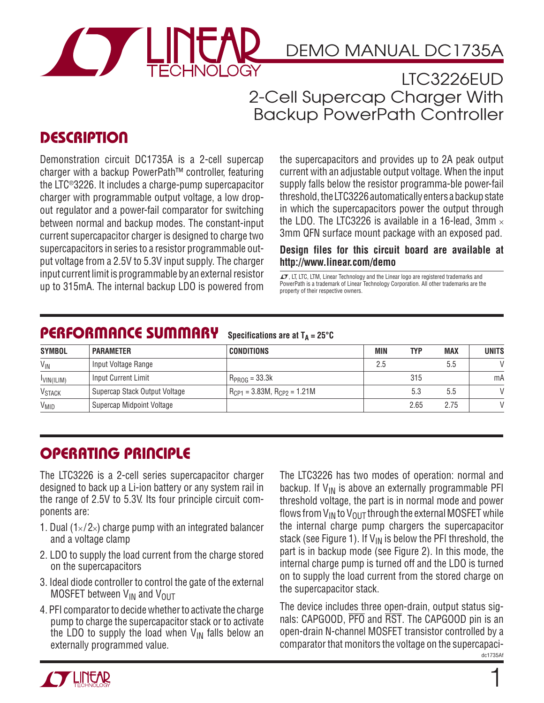

# DEMO MANUAL DC1735A

LTC3226EUD 2-Cell Supercap Charger With Backup PowerPath Controller

### **DESCRIPTION**

Demonstration circuit DC1735A is a 2-cell supercap charger with a backup PowerPath™ controller, featuring the LTC®3226. It includes a charge-pump supercapacitor charger with programmable output voltage, a low dropout regulator and a power-fail comparator for switching between normal and backup modes. The constant-input current supercapacitor charger is designed to charge two supercapacitors in series to a resistor programmable output voltage from a 2.5V to 5.3V input supply. The charger input current limit is programmable by an external resistor up to 315mA. The internal backup LDO is powered from the supercapacitors and provides up to 2A peak output current with an adjustable output voltage. When the input supply falls below the resistor programma-ble power-fail threshold, the LTC3226 automatically enters a backup state in which the supercapacitors power the output through the LDO. The LTC3226 is available in a 16-lead,  $3mm \times$ 3mm QFN surface mount package with an exposed pad.

**Design files for this circuit board are available at http://www.linear.com/demo**

 $\sqrt{J}$ , LT, LTC, LTM, Linear Technology and the Linear logo are registered trademarks and PowerPath is a trademark of Linear Technology Corporation. All other trademarks are the property of their respective owners.

#### **PERFORMANCE SUMMARY Specifications are at TA = 25°C**

| <b>SYMBOL</b>            | <b>PARAMETER</b>              | <b>CONDITIONS</b>                     | MIN | <b>TYP</b> | <b>MAX</b> | <b>UNITS</b>  |
|--------------------------|-------------------------------|---------------------------------------|-----|------------|------------|---------------|
| $V_{IN}$                 | Input Voltage Range           |                                       | 2.5 |            | 5.5        | V             |
| IVIN(ILIM)               | Input Current Limit           | $R_{PROG} = 33.3k$                    |     | 315        |            | mA            |
| <b>V<sub>STACK</sub></b> | Supercap Stack Output Voltage | $R_{CP1} = 3.83M$ , $R_{CP2} = 1.21M$ |     | 5.3        | 5.5        | $\mathcal{U}$ |
| V <sub>MID</sub>         | Supercap Midpoint Voltage     |                                       |     | 2.65       | 2.75       |               |

# **OPERATING PRINCIPLE**

The LTC3226 is a 2-cell series supercapacitor charger designed to back up a Li-ion battery or any system rail in the range of 2.5V to 5.3V. Its four principle circuit components are:

- 1. Dual  $(1\times/2\times)$  charge pump with an integrated balancer and a voltage clamp
- 2. LDO to supply the load current from the charge stored on the supercapacitors
- 3. Ideal diode controller to control the gate of the external MOSFET between  $V_{IN}$  and  $V_{OUT}$
- 4. PFI comparator to decide whether to activate the charge pump to charge the supercapacitor stack or to activate the LDO to supply the load when  $V_{\text{IN}}$  falls below an externally programmed value.

The LTC3226 has two modes of operation: normal and backup. If  $V_{IN}$  is above an externally programmable PFI threshold voltage, the part is in normal mode and power flows from  $V_{IN}$  to  $V_{OIII}$  through the external MOSFET while the internal charge pump chargers the supercapacitor stack (see Figure 1). If  $V_{IN}$  is below the PFI threshold, the part is in backup mode (see Figure 2). In this mode, the internal charge pump is turned off and the LDO is turned on to supply the load current from the stored charge on the supercapacitor stack.

dc1735Af The device includes three open-drain, output status signals: CAPGOOD, PFO and RST. The CAPGOOD pin is an open-drain N-channel MOSFET transistor controlled by a comparator that monitors the voltage on the supercapaci-

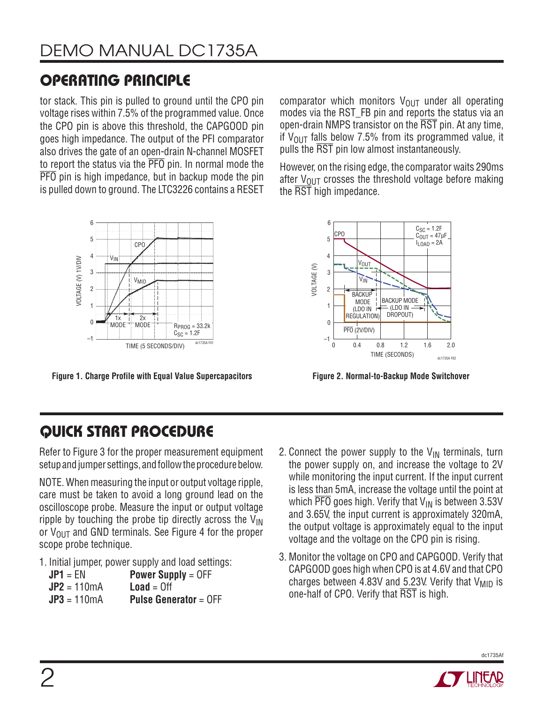# **OPERATING PRINCIPLE**

tor stack. This pin is pulled to ground until the CPO pin voltage rises within 7.5% of the programmed value. Once the CPO pin is above this threshold, the CAPGOOD pin goes high impedance. The output of the PFI comparator also drives the gate of an open-drain N-channel MOSFET to report the status via the PFO pin. In normal mode the PFO pin is high impedance, but in backup mode the pin is pulled down to ground. The LTC3226 contains a RESET



**Figure 1. Charge Profile with Equal Value Supercapacitors**

comparator which monitors  $V_{\text{OUT}}$  under all operating modes via the RST\_FB pin and reports the status via an open-drain NMPS transistor on the RST pin. At any time, if  $V_{\text{OUT}}$  falls below 7.5% from its programmed value, it pulls the RST pin low almost instantaneously.

However, on the rising edge, the comparator waits 290ms after  $V_{\text{OUT}}$  crosses the threshold voltage before making the RST high impedance.



**Figure 2. Normal-to-Backup Mode Switchover**

## **QUICK START PROCEDURE**

Refer to Figure 3 for the proper measurement equipment setup and jumper settings, and follow the procedure below.

NOTE. When measuring the input or output voltage ripple, care must be taken to avoid a long ground lead on the oscilloscope probe. Measure the input or output voltage ripple by touching the probe tip directly across the  $V_{IN}$ or  $V_{\text{OUT}}$  and GND terminals. See Figure 4 for the proper scope probe technique.

1. Initial jumper, power supply and load settings:

| $JP1 = EN$    | <b>Power Supply = <math>OFF</math></b>           |
|---------------|--------------------------------------------------|
| $JP2 = 110mA$ | $Load = Off$                                     |
| $JP3 = 110mA$ | <b>Pulse Generator = <math>\text{OFF}</math></b> |

- 2. Connect the power supply to the  $V_{IN}$  terminals, turn the power supply on, and increase the voltage to 2V while monitoring the input current. If the input current is less than 5mA, increase the voltage until the point at which  $\overline{PFO}$  goes high. Verify that  $V_{IN}$  is between 3.53V and 3.65V, the input current is approximately 320mA, the output voltage is approximately equal to the input voltage and the voltage on the CPO pin is rising.
- 3. Monitor the voltage on CPO and CAPGOOD. Verify that CAPGOOD goes high when CPO is at 4.6V and that CPO charges between 4.83V and 5.23V. Verify that  $V_{\text{MID}}$  is one-half of CPO. Verify that RST is high.



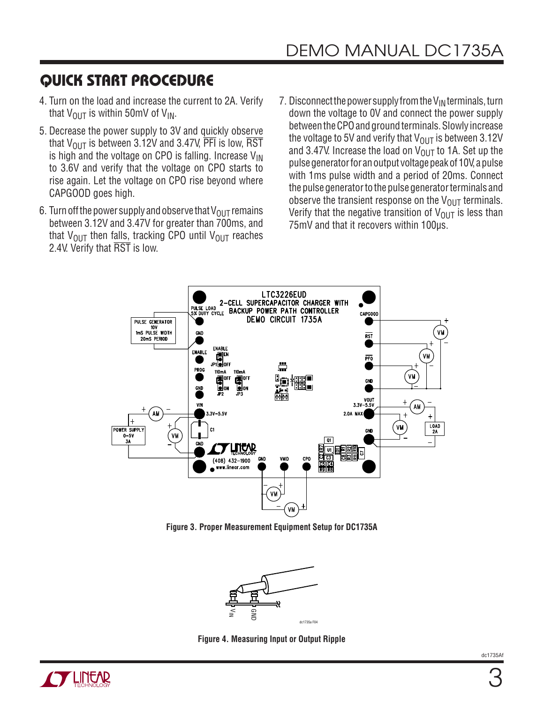## **QUICK START PROCEDURE**

- 4. Turn on the load and increase the current to 2A. Verify that  $V_{\text{OUT}}$  is within 50mV of  $V_{\text{IN}}$ .
- 5. Decrease the power supply to 3V and quickly observe that  $V_{\text{OUT}}$  is between 3.12V and 3.47V, PFI is low, RST is high and the voltage on CPO is falling. Increase  $V_{\text{IN}}$ to 3.6V and verify that the voltage on CPO starts to rise again. Let the voltage on CPO rise beyond where CAPGOOD goes high.
- 6. Turn off the power supply and observe that  $V_{\text{OUT}}$  remains between 3.12V and 3.47V for greater than 700ms, and that  $V_{\text{OUT}}$  then falls, tracking CPO until  $V_{\text{OUT}}$  reaches 2.4V. Verify that RST is low.
- 7. Disconnect the power supply from the  $V_{IN}$  terminals, turn down the voltage to 0V and connect the power supply between the CPO and ground terminals. Slowly increase the voltage to 5V and verify that  $V_{OUT}$  is between 3.12V and 3.47V. Increase the load on  $V_{OUT}$  to 1A. Set up the pulse generator for an output voltage peak of 10V, a pulse with 1ms pulse width and a period of 20ms. Connect the pulse generator to the pulse generator terminals and observe the transient response on the  $V_{\text{OUT}}$  terminals. Verify that the negative transition of  $V_{\text{OUT}}$  is less than 75mV and that it recovers within 100μs.



**Figure 3. Proper Measurement Equipment Setup for DC1735A**



**Figure 4. Measuring Input or Output Ripple**

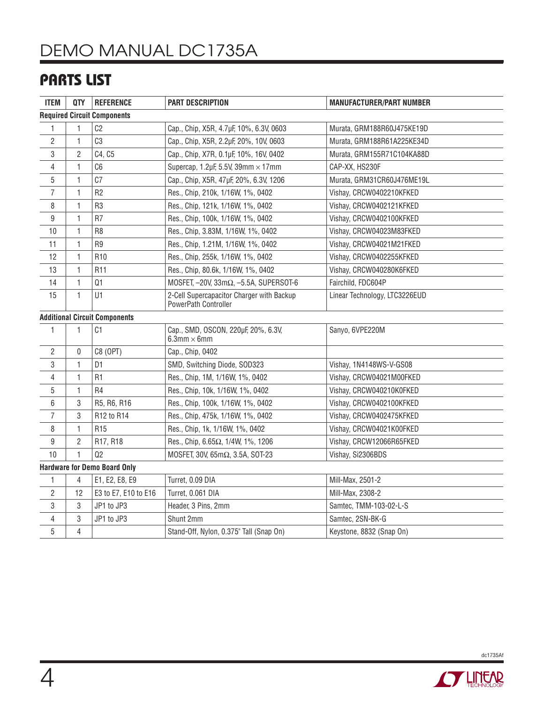# DEMO MANUAL DC1735A

### **PARTS LIST**

| <b>ITEM</b>                        | <b>QTY</b>     | <b>REFERENCE</b>                     | <b>PART DESCRIPTION</b>                                           | <b>MANUFACTURER/PART NUMBER</b> |  |  |  |  |
|------------------------------------|----------------|--------------------------------------|-------------------------------------------------------------------|---------------------------------|--|--|--|--|
| <b>Required Circuit Components</b> |                |                                      |                                                                   |                                 |  |  |  |  |
| 1                                  | 1              | C <sub>2</sub>                       | Cap., Chip, X5R, 4.7µF, 10%, 6.3V, 0603                           | Murata, GRM188R60J475KE19D      |  |  |  |  |
| $\overline{c}$                     | 1              | C <sub>3</sub>                       | Cap., Chip, X5R, 2.2µF, 20%, 10V, 0603                            | Murata, GRM188R61A225KE34D      |  |  |  |  |
| 3                                  | $\overline{2}$ | C4, C5                               | Cap., Chip, X7R, 0.1µF, 10%, 16V, 0402                            | Murata, GRM155R71C104KA88D      |  |  |  |  |
| 4                                  | 1              | C <sub>6</sub>                       | Supercap, 1.2µF, 5.5V, 39mm $\times$ 17mm                         | CAP-XX, HS230F                  |  |  |  |  |
| 5                                  | 1              | C <sub>7</sub>                       | Cap., Chip, X5R, 47µF, 20%, 6.3V, 1206                            | Murata, GRM31CR60J476ME19L      |  |  |  |  |
| $\overline{7}$                     | 1              | R <sub>2</sub>                       | Res., Chip, 210k, 1/16W, 1%, 0402                                 | Vishay, CRCW0402210KFKED        |  |  |  |  |
| 8                                  | 1              | R <sub>3</sub>                       | Res., Chip, 121k, 1/16W, 1%, 0402                                 | Vishay, CRCW0402121KFKED        |  |  |  |  |
| 9                                  | 1              | R <sub>7</sub>                       | Res., Chip, 100k, 1/16W, 1%, 0402                                 | Vishay, CRCW0402100KFKED        |  |  |  |  |
| 10                                 | 1              | R <sub>8</sub>                       | Res., Chip, 3.83M, 1/16W, 1%, 0402                                | Vishay, CRCW04023M83FKED        |  |  |  |  |
| 11                                 | 1              | R <sub>9</sub>                       | Res., Chip, 1.21M, 1/16W, 1%, 0402                                | Vishay, CRCW04021M21FKED        |  |  |  |  |
| 12                                 | 1              | R <sub>10</sub>                      | Res., Chip, 255k, 1/16W, 1%, 0402                                 | Vishay, CRCW0402255KFKED        |  |  |  |  |
| 13                                 | $\mathbf{1}$   | R11                                  | Res., Chip, 80.6k, 1/16W, 1%, 0402                                | Vishay, CRCW040280K6FKED        |  |  |  |  |
| 14                                 | 1              | Q1                                   | MOSFET, $-20$ V, 33m $\Omega$ , $-5.5$ A, SUPERSOT-6              | Fairchild, FDC604P              |  |  |  |  |
| 15                                 | $\mathbf{1}$   | U1                                   | 2-Cell Supercapacitor Charger with Backup<br>PowerPath Controller | Linear Technology, LTC3226EUD   |  |  |  |  |
|                                    |                | <b>Additional Circuit Components</b> |                                                                   |                                 |  |  |  |  |
| 1                                  | 1              | C1                                   | Cap., SMD, OSCON, 220µF, 20%, 6.3V,<br>$6.3$ mm $\times$ 6mm      | Sanyo, 6VPE220M                 |  |  |  |  |
| 2                                  | 0              | C8 (OPT)                             | Cap., Chip, 0402                                                  |                                 |  |  |  |  |
| 3                                  | 1              | D <sub>1</sub>                       | SMD, Switching Diode, SOD323                                      | Vishay, 1N4148WS-V-GS08         |  |  |  |  |
| 4                                  | 1              | R <sub>1</sub>                       | Res., Chip, 1M, 1/16W, 1%, 0402                                   | Vishay, CRCW04021M00FKED        |  |  |  |  |
| 5                                  | 1              | R <sub>4</sub>                       | Res., Chip, 10k, 1/16W, 1%, 0402                                  | Vishay, CRCW040210K0FKED        |  |  |  |  |
| 6                                  | 3              | R5, R6, R16                          | Res., Chip, 100k, 1/16W, 1%, 0402                                 | Vishay, CRCW0402100KFKED        |  |  |  |  |
| 7                                  | 3              | R12 to R14                           | Res., Chip, 475k, 1/16W, 1%, 0402                                 | Vishay, CRCW0402475KFKED        |  |  |  |  |
| 8                                  | $\mathbf{1}$   | R <sub>15</sub>                      | Res., Chip, 1k, 1/16W, 1%, 0402                                   | Vishay, CRCW04021K00FKED        |  |  |  |  |
| 9                                  | $\overline{2}$ | R17, R18                             | Res., Chip, 6.65Ω, 1/4W, 1%, 1206                                 | Vishay, CRCW12066R65FKED        |  |  |  |  |
| 10                                 | $\mathbf{1}$   | Q2                                   | MOSFET, 30V, 65mΩ, 3.5A, SOT-23                                   | Vishay, Si2306BDS               |  |  |  |  |
|                                    |                | <b>Hardware for Demo Board Only</b>  |                                                                   |                                 |  |  |  |  |
| 1                                  | 4              | E1, E2, E8, E9                       | Turret, 0.09 DIA                                                  | Mill-Max, 2501-2                |  |  |  |  |
| 2                                  | 12             | E3 to E7, E10 to E16                 | Turret, 0.061 DIA                                                 | Mill-Max, 2308-2                |  |  |  |  |
| 3                                  | 3              | JP1 to JP3                           | Header, 3 Pins, 2mm                                               | Samtec, TMM-103-02-L-S          |  |  |  |  |
| 4                                  | 3              | JP1 to JP3                           | Shunt 2mm                                                         | Samtec, 2SN-BK-G                |  |  |  |  |
| 5                                  | 4              |                                      | Stand-Off, Nylon, 0.375" Tall (Snap On)                           | Keystone, 8832 (Snap On)        |  |  |  |  |



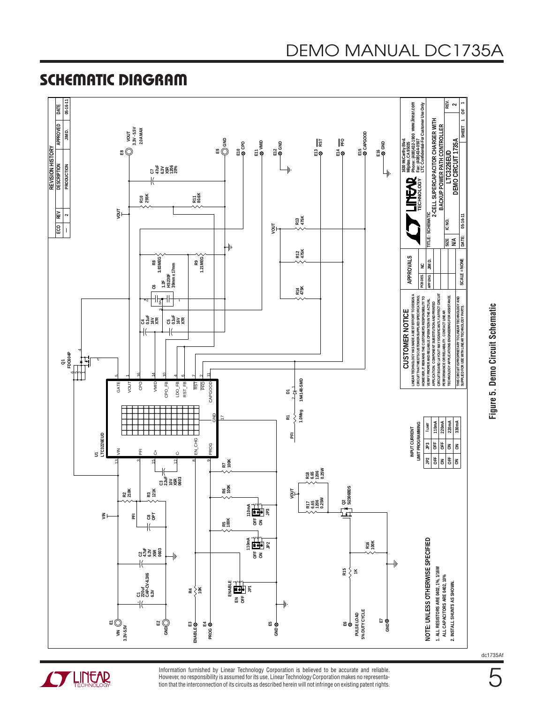Information furnished by Linear Technology Corporation is believed to be accurate and reliable. However, no responsibility is assumed for its use. Linear Technology Corporation makes no representation that the interconnection of its circuits as described herein will not infringe on existing patent rights.

#### **SCHEMATIC DIAGRAM**





**ANTENEAR**